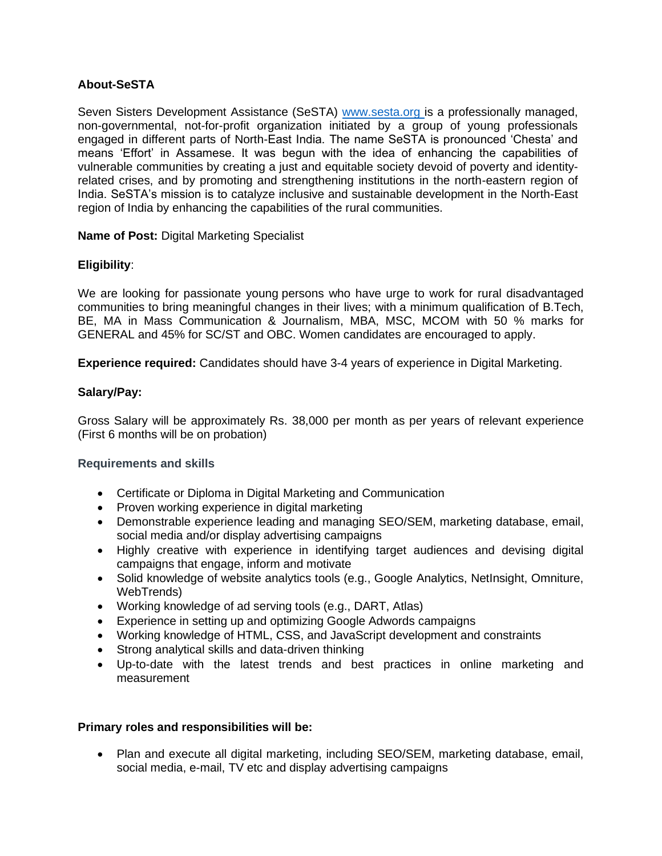# **About-SeSTA**

Seven Sisters Development Assistance (SeSTA) [www.sesta.org](http://www.sesta.org/) is a professionally managed, non-governmental, not-for-profit organization initiated by a group of young professionals engaged in different parts of North-East India. The name SeSTA is pronounced 'Chesta' and means 'Effort' in Assamese. It was begun with the idea of enhancing the capabilities of vulnerable communities by creating a just and equitable society devoid of poverty and identityrelated crises, and by promoting and strengthening institutions in the north-eastern region of India. SeSTA's mission is to catalyze inclusive and sustainable development in the North-East region of India by enhancing the capabilities of the rural communities.

### **Name of Post:** Digital Marketing Specialist

# **Eligibility**:

We are looking for passionate young persons who have urge to work for rural disadvantaged communities to bring meaningful changes in their lives; with a minimum qualification of B.Tech, BE, MA in Mass Communication & Journalism, MBA, MSC, MCOM with 50 % marks for GENERAL and 45% for SC/ST and OBC. Women candidates are encouraged to apply.

**Experience required:** Candidates should have 3-4 years of experience in Digital Marketing.

#### **Salary/Pay:**

Gross Salary will be approximately Rs. 38,000 per month as per years of relevant experience (First 6 months will be on probation)

#### **Requirements and skills**

- Certificate or Diploma in Digital Marketing and Communication
- Proven working experience in digital marketing
- Demonstrable experience leading and managing SEO/SEM, marketing database, email, social media and/or display advertising campaigns
- Highly creative with experience in identifying target audiences and devising digital campaigns that engage, inform and motivate
- Solid knowledge of website analytics tools (e.g., Google Analytics, NetInsight, Omniture, WebTrends)
- Working knowledge of ad serving tools (e.g., DART, Atlas)
- Experience in setting up and optimizing Google Adwords campaigns
- Working knowledge of HTML, CSS, and JavaScript development and constraints
- Strong analytical skills and data-driven thinking
- Up-to-date with the latest trends and best practices in online marketing and measurement

#### **Primary roles and responsibilities will be:**

• Plan and execute all digital marketing, including SEO/SEM, marketing database, email, social media, e-mail, TV etc and display advertising campaigns